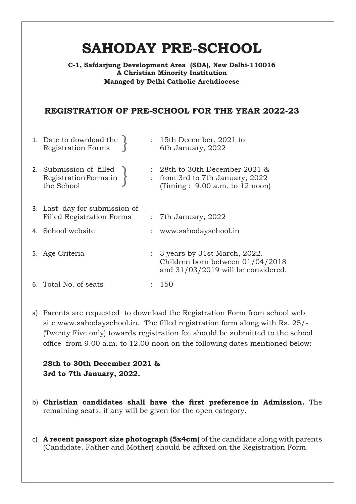# **SAHODAY PRE-SCHOOL**

### **C-1, Safdarjung Development Area (SDA), New Delhi-110016 A Christian Minority Institution Managed by Delhi Catholic Archdiocese**

### **REGISTRATION OF PRE-SCHOOL FOR THE YEAR 2022-23**

| 1. Date to download the $\ell$<br><b>Registration Forms</b>       | $: 15$ th December, 2021 to<br>6th January, 2022                                                                      |
|-------------------------------------------------------------------|-----------------------------------------------------------------------------------------------------------------------|
| 2. Submission of filled<br>Registration Forms in<br>the School    | $: 28th$ to 30th December 2021 &<br>: from 3rd to 7th January, 2022<br>(Timing : $9.00$ a.m. to 12 noon)              |
| 3. Last day for submission of<br><b>Filled Registration Forms</b> | $:$ 7th January, 2022                                                                                                 |
| 4. School website                                                 | : www.sahodayschool.in                                                                                                |
| 5. Age Criteria                                                   | $\therefore$ 3 years by 31st March, 2022.<br>Children born between 01/04/2018<br>and $31/03/2019$ will be considered. |
| 6. Total No. of seats                                             | 150                                                                                                                   |
|                                                                   |                                                                                                                       |

a) Parents are requested to download the Registration Form from school web site www.sahodayschool.in. The filled registration form along with Rs. 25/- (Twenty Five only) towards registration fee should be submitted to the school office from 9.00 a.m. to 12.00 noon on the following dates mentioned below:

**28th to 30th December 2021 & 3rd to 7th January, 2022.**

- b) **Christian candidates shall have the first preference in Admission.** The remaining seats, if any will be given for the open category.
- c) **A recent passport size photograph (5x4cm)** of the candidate along with parents (Candidate, Father and Mother) should be affixed on the Registration Form.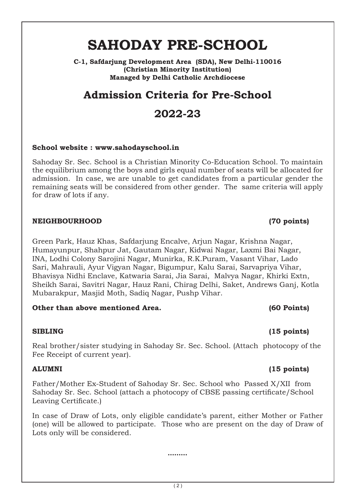# **SAHODAY PRE-SCHOOL**

**C-1, Safdarjung Development Area (SDA), New Delhi-110016 (Christian Minority Institution) Managed by Delhi Catholic Archdiocese**

## **Admission Criteria for Pre-School**

## **2022-23**

### **School website : www.sahodayschool.in**

Sahoday Sr. Sec. School is a Christian Minority Co-Education School. To maintain the equilibrium among the boys and girls equal number of seats will be allocated for admission. In case, we are unable to get candidates from a particular gender the remaining seats will be considered from other gender. The same criteria will apply for draw of lots if any.

### **NEIGHBOURHOOD (70 points)**

Green Park, Hauz Khas, Safdarjung Encalve, Arjun Nagar, Krishna Nagar, Humayunpur, Shahpur Jat, Gautam Nagar, Kidwai Nagar, Laxmi Bai Nagar, INA, Lodhi Colony Sarojini Nagar, Munirka, R.K.Puram, Vasant Vihar, Lado Sari, Mahrauli, Ayur Vigyan Nagar, Bigumpur, Kalu Sarai, Sarvapriya Vihar, Bhavisya Nidhi Enclave, Katwaria Sarai, Jia Sarai, Malvya Nagar, Khirki Extn, Sheikh Sarai, Savitri Nagar, Hauz Rani, Chirag Delhi, Saket, Andrews Ganj, Kotla Mubarakpur, Masjid Moth, Sadiq Nagar, Pushp Vihar.

### **Other than above mentioned Area. (60 Points)**

### **SIBLING (15 points)**

Real brother/sister studying in Sahoday Sr. Sec. School. (Attach photocopy of the Fee Receipt of current year).

Father/Mother Ex-Student of Sahoday Sr. Sec. School who Passed X/XII from Sahoday Sr. Sec. School (attach a photocopy of CBSE passing certificate/School Leaving Certificate.)

In case of Draw of Lots, only eligible candidate's parent, either Mother or Father (one) will be allowed to participate. Those who are present on the day of Draw of Lots only will be considered.

**………**

### **ALUMNI (15 points)**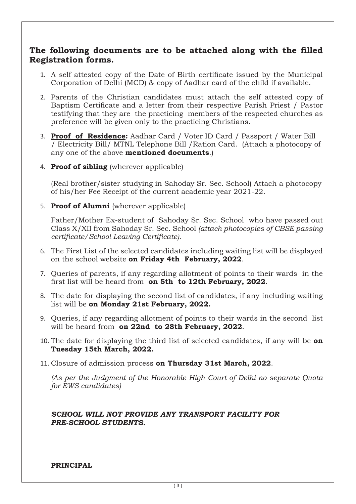### **The following documents are to be attached along with the filled Registration forms.**

- 1. A self attested copy of the Date of Birth certificate issued by the Municipal Corporation of Delhi (MCD) & copy of Aadhar card of the child if available.
- 2. Parents of the Christian candidates must attach the self attested copy of Baptism Certificate and a letter from their respective Parish Priest / Pastor testifying that they are the practicing members of the respected churches as preference will be given only to the practicing Christians.
- 3. **Proof of Residence:** Aadhar Card / Voter ID Card / Passport / Water Bill / Electricity Bill/ MTNL Telephone Bill /Ration Card. (Attach a photocopy of any one of the above **mentioned documents**.)
- 4. **Proof of sibling** (wherever applicable)

(Real brother/sister studying in Sahoday Sr. Sec. School) Attach a photocopy of his/her Fee Receipt of the current academic year 2021-22.

5. **Proof of Alumni** (wherever applicable)

Father/Mother Ex-student of Sahoday Sr. Sec. School who have passed out Class X/XII from Sahoday Sr. Sec. School *(attach photocopies of CBSE passing certificate/School Leaving Certificate).*

- 6. The First List of the selected candidates including waiting list will be displayed on the school website **on Friday 4th February, 2022**.
- 7. Queries of parents, if any regarding allotment of points to their wards in the first list will be heard from **on 5th to 12th February, 2022**.
- 8. The date for displaying the second list of candidates, if any including waiting list will be **on Monday 21st February, 2022.**
- 9. Queries, if any regarding allotment of points to their wards in the second list will be heard from **on 22nd to 28th February, 2022**.
- 10. The date for displaying the third list of selected candidates, if any will be **on Tuesday 15th March, 2022.**
- 11. Closure of admission process **on Thursday 31st March, 2022**.

*(As per the Judgment of the Honorable High Court of Delhi no separate Quota for EWS candidates)*

### *SCHOOL WILL NOT PROVIDE ANY TRANSPORT FACILITY FOR PRE-SCHOOL STUDENTS.*

**PRINCIPAL**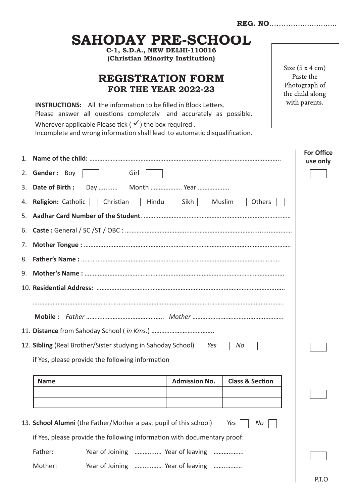|                                                                           | SAHODAY PRE-SCHOOL                                                                                                                                                                                                                                                                                                                               |                      |                            |  |                               |  |
|---------------------------------------------------------------------------|--------------------------------------------------------------------------------------------------------------------------------------------------------------------------------------------------------------------------------------------------------------------------------------------------------------------------------------------------|----------------------|----------------------------|--|-------------------------------|--|
|                                                                           | C-1, S.D.A., NEW DELHI-110016<br>(Christian Minority Institution)                                                                                                                                                                                                                                                                                |                      |                            |  | Size $(5 x 4 cm)$             |  |
|                                                                           | Paste the<br><b>REGISTRATION FORM</b><br>Photograph of<br><b>FOR THE YEAR 2022-23</b><br>the child along<br>with parents.<br><b>INSTRUCTIONS:</b> All the information to be filled in Block Letters.<br>Please answer all questions completely and accurately as possible.<br>Wherever applicable Please tick ( $\checkmark$ ) the box required. |                      |                            |  |                               |  |
|                                                                           |                                                                                                                                                                                                                                                                                                                                                  |                      |                            |  |                               |  |
|                                                                           | Incomplete and wrong information shall lead to automatic disqualification.                                                                                                                                                                                                                                                                       |                      |                            |  |                               |  |
|                                                                           |                                                                                                                                                                                                                                                                                                                                                  |                      |                            |  | <b>For Office</b><br>use only |  |
|                                                                           | 2. Gender: Boy<br>Girl                                                                                                                                                                                                                                                                                                                           |                      |                            |  |                               |  |
|                                                                           | 3. Date of Birth :                                                                                                                                                                                                                                                                                                                               |                      |                            |  |                               |  |
| 4. Religion: Catholic<br>Christian<br>Hindu<br>Sikh  <br>Muslim<br>Others |                                                                                                                                                                                                                                                                                                                                                  |                      |                            |  |                               |  |
|                                                                           |                                                                                                                                                                                                                                                                                                                                                  |                      |                            |  |                               |  |
| 6.                                                                        |                                                                                                                                                                                                                                                                                                                                                  |                      |                            |  |                               |  |
| 7.                                                                        |                                                                                                                                                                                                                                                                                                                                                  |                      |                            |  |                               |  |
| 8.                                                                        |                                                                                                                                                                                                                                                                                                                                                  |                      |                            |  |                               |  |
| 9.                                                                        |                                                                                                                                                                                                                                                                                                                                                  |                      |                            |  |                               |  |
|                                                                           |                                                                                                                                                                                                                                                                                                                                                  |                      |                            |  |                               |  |
|                                                                           |                                                                                                                                                                                                                                                                                                                                                  |                      |                            |  |                               |  |
|                                                                           |                                                                                                                                                                                                                                                                                                                                                  |                      |                            |  |                               |  |
|                                                                           |                                                                                                                                                                                                                                                                                                                                                  |                      |                            |  |                               |  |
|                                                                           | 12. Sibling (Real Brother/Sister studying in Sahoday School)                                                                                                                                                                                                                                                                                     | Yes                  | No                         |  |                               |  |
| if Yes, please provide the following information                          |                                                                                                                                                                                                                                                                                                                                                  |                      |                            |  |                               |  |
|                                                                           | <b>Name</b>                                                                                                                                                                                                                                                                                                                                      | <b>Admission No.</b> | <b>Class &amp; Section</b> |  |                               |  |
|                                                                           |                                                                                                                                                                                                                                                                                                                                                  |                      |                            |  |                               |  |
|                                                                           | 13. School Alumni (the Father/Mother a past pupil of this school)                                                                                                                                                                                                                                                                                |                      | Yes<br>No                  |  |                               |  |
| if Yes, please provide the following information with documentary proof:  |                                                                                                                                                                                                                                                                                                                                                  |                      |                            |  |                               |  |
|                                                                           | Father:<br>Year of Joining  Year of leaving                                                                                                                                                                                                                                                                                                      |                      |                            |  |                               |  |
|                                                                           | Mother:<br>Year of Joining  Year of leaving                                                                                                                                                                                                                                                                                                      |                      |                            |  |                               |  |
|                                                                           |                                                                                                                                                                                                                                                                                                                                                  |                      |                            |  | P.T.O                         |  |

**REG. NO**………….................